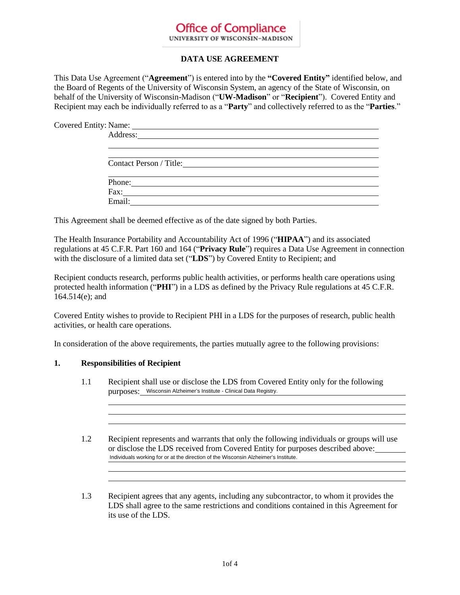#### **DATA USE AGREEMENT**

This Data Use Agreement ("**Agreement**") is entered into by the **"Covered Entity"** identified below, and the Board of Regents of the University of Wisconsin System, an agency of the State of Wisconsin, on behalf of the University of Wisconsin-Madison ("**UW-Madison**" or "**Recipient**"). Covered Entity and Recipient may each be individually referred to as a "**Party**" and collectively referred to as the "**Parties**."

Covered Entity: Name:

| Address:                                                               |  |  |
|------------------------------------------------------------------------|--|--|
|                                                                        |  |  |
|                                                                        |  |  |
| Contact Person / Title: 1998                                           |  |  |
|                                                                        |  |  |
|                                                                        |  |  |
| $\text{Fax:}\n\qquad \qquad \qquad \qquad \qquad \qquad \qquad \qquad$ |  |  |
|                                                                        |  |  |
|                                                                        |  |  |

This Agreement shall be deemed effective as of the date signed by both Parties.

The Health Insurance Portability and Accountability Act of 1996 ("**HIPAA**") and its associated regulations at 45 C.F.R. Part 160 and 164 ("**Privacy Rule**") requires a Data Use Agreement in connection with the disclosure of a limited data set ("**LDS**") by Covered Entity to Recipient; and

Recipient conducts research, performs public health activities, or performs health care operations using protected health information ("**PHI**") in a LDS as defined by the Privacy Rule regulations at 45 C.F.R. 164.514(e); and

Covered Entity wishes to provide to Recipient PHI in a LDS for the purposes of research, public health activities, or health care operations.

In consideration of the above requirements, the parties mutually agree to the following provisions:

#### **1. Responsibilities of Recipient**

- 1.1 Recipient shall use or disclose the LDS from Covered Entity only for the following purposes: Wisconsin Alzheimer's Institute - Clinical Data Registry.
- 1.2 Recipient represents and warrants that only the following individuals or groups will use or disclose the LDS received from Covered Entity for purposes described above: Misconsin Alzheimer's Institute - Clinical Data Registry.<br>Individuals working for or at the direction of the Wisconsin Alzheimer's Institute.<br>Individuals working for or at the direction of the Wisconsin Alzheimer's Institu

1.3 Recipient agrees that any agents, including any subcontractor, to whom it provides the LDS shall agree to the same restrictions and conditions contained in this Agreement for its use of the LDS.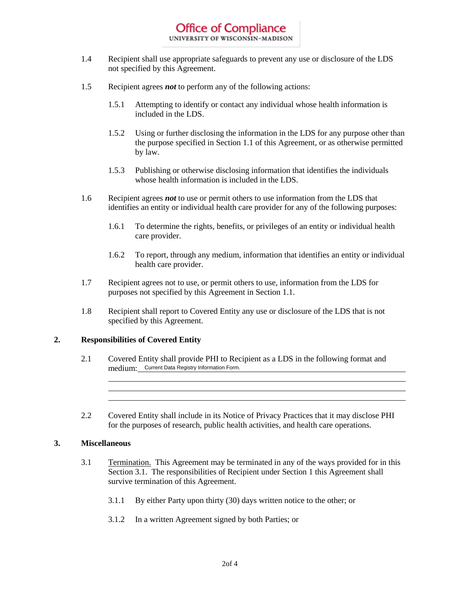- 1.4 Recipient shall use appropriate safeguards to prevent any use or disclosure of the LDS not specified by this Agreement.
- 1.5 Recipient agrees *not* to perform any of the following actions:
	- 1.5.1 Attempting to identify or contact any individual whose health information is included in the LDS.
	- 1.5.2 Using or further disclosing the information in the LDS for any purpose other than the purpose specified in Section 1.1 of this Agreement, or as otherwise permitted by law.
	- 1.5.3 Publishing or otherwise disclosing information that identifies the individuals whose health information is included in the LDS.
- 1.6 Recipient agrees *not* to use or permit others to use information from the LDS that identifies an entity or individual health care provider for any of the following purposes:
	- 1.6.1 To determine the rights, benefits, or privileges of an entity or individual health care provider.
	- 1.6.2 To report, through any medium, information that identifies an entity or individual health care provider.
- 1.7 Recipient agrees not to use, or permit others to use, information from the LDS for purposes not specified by this Agreement in Section 1.1.
- 1.8 Recipient shall report to Covered Entity any use or disclosure of the LDS that is not specified by this Agreement.

#### **2. Responsibilities of Covered Entity**

- 2.1 Covered Entity shall provide PHI to Recipient as a LDS in the following format and medium: Current Data Registry Information Form.
- 2.2 Covered Entity shall include in its Notice of Privacy Practices that it may disclose PHI for the purposes of research, public health activities, and health care operations.

#### **3. Miscellaneous**

- 3.1 Termination.This Agreement may be terminated in any of the ways provided for in this Section 3.1. The responsibilities of Recipient under Section 1 this Agreement shall survive termination of this Agreement.
	- 3.1.1 By either Party upon thirty (30) days written notice to the other; or
	- 3.1.2 In a written Agreement signed by both Parties; or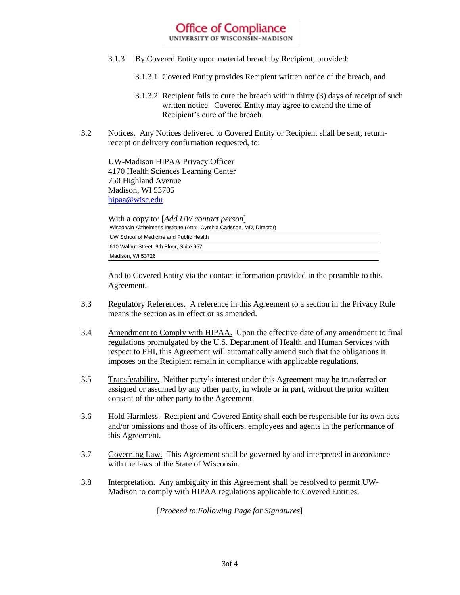- 3.1.3 By Covered Entity upon material breach by Recipient, provided:
	- 3.1.3.1 Covered Entity provides Recipient written notice of the breach, and
	- 3.1.3.2 Recipient fails to cure the breach within thirty (3) days of receipt of such written notice. Covered Entity may agree to extend the time of Recipient's cure of the breach.
- 3.2 Notices.Any Notices delivered to Covered Entity or Recipient shall be sent, returnreceipt or delivery confirmation requested, to:

UW-Madison HIPAA Privacy Officer 4170 Health Sciences Learning Center 750 Highland Avenue Madison, WI 53705 hipaa@wisc.edu

With a copy to: [*Add UW contact person*] Wisconsin Alzheimer's Institute (Attn: Cynthia Carlsson, MD, Director) UW School of Medicine and Public Health 610 Walnut Street, 9th Floor, Suite 957 Madison, WI 53726

And to Covered Entity via the contact information provided in the preamble to this Agreement.

- 3.3 Regulatory References. A reference in this Agreement to a section in the Privacy Rule means the section as in effect or as amended.
- 3.4 Amendment to Comply with HIPAA. Upon the effective date of any amendment to final regulations promulgated by the U.S. Department of Health and Human Services with respect to PHI, this Agreement will automatically amend such that the obligations it imposes on the Recipient remain in compliance with applicable regulations.
- 3.5 Transferability. Neither party's interest under this Agreement may be transferred or assigned or assumed by any other party, in whole or in part, without the prior written consent of the other party to the Agreement.
- 3.6 Hold Harmless. Recipient and Covered Entity shall each be responsible for its own acts and/or omissions and those of its officers, employees and agents in the performance of this Agreement.
- 3.7 Governing Law. This Agreement shall be governed by and interpreted in accordance with the laws of the State of Wisconsin.
- 3.8 Interpretation. Any ambiguity in this Agreement shall be resolved to permit UW-Madison to comply with HIPAA regulations applicable to Covered Entities.

[*Proceed to Following Page for Signatures*]